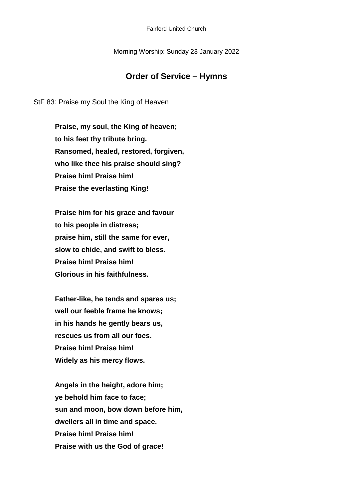## Morning Worship: Sunday 23 January 2022

## **Order of Service – Hymns**

StF 83: Praise my Soul the King of Heaven

**Praise, my soul, the King of heaven; to his feet thy tribute bring. Ransomed, healed, restored, forgiven, who like thee his praise should sing? Praise him! Praise him! Praise the everlasting King!**

**Praise him for his grace and favour to his people in distress; praise him, still the same for ever, slow to chide, and swift to bless. Praise him! Praise him! Glorious in his faithfulness.**

**Father-like, he tends and spares us; well our feeble frame he knows; in his hands he gently bears us, rescues us from all our foes. Praise him! Praise him! Widely as his mercy flows.**

**Angels in the height, adore him; ye behold him face to face; sun and moon, bow down before him, dwellers all in time and space. Praise him! Praise him! Praise with us the God of grace!**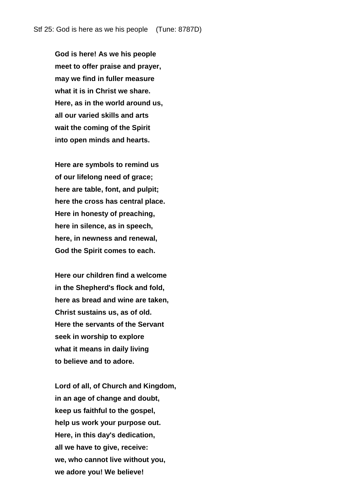**God is here! As we his people meet to offer praise and prayer, may we find in fuller measure what it is in Christ we share. Here, as in the world around us, all our varied skills and arts wait the coming of the Spirit into open minds and hearts.**

**Here are symbols to remind us of our lifelong need of grace; here are table, font, and pulpit; here the cross has central place. Here in honesty of preaching, here in silence, as in speech, here, in newness and renewal, God the Spirit comes to each.**

**Here our children find a welcome in the Shepherd's flock and fold, here as bread and wine are taken, Christ sustains us, as of old. Here the servants of the Servant seek in worship to explore what it means in daily living to believe and to adore.**

**Lord of all, of Church and Kingdom, in an age of change and doubt, keep us faithful to the gospel, help us work your purpose out. Here, in this day's dedication, all we have to give, receive: we, who cannot live without you, we adore you! We believe!**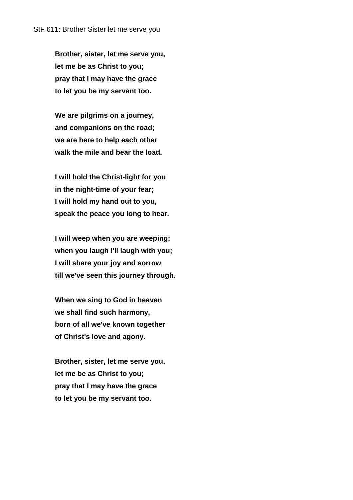**Brother, sister, let me serve you, let me be as Christ to you; pray that I may have the grace to let you be my servant too.**

**We are pilgrims on a journey, and companions on the road; we are here to help each other walk the mile and bear the load.**

**I will hold the Christ-light for you in the night-time of your fear; I will hold my hand out to you, speak the peace you long to hear.**

**I will weep when you are weeping; when you laugh I'll laugh with you; I will share your joy and sorrow till we've seen this journey through.**

**When we sing to God in heaven we shall find such harmony, born of all we've known together of Christ's love and agony.**

**Brother, sister, let me serve you, let me be as Christ to you; pray that I may have the grace to let you be my servant too.**